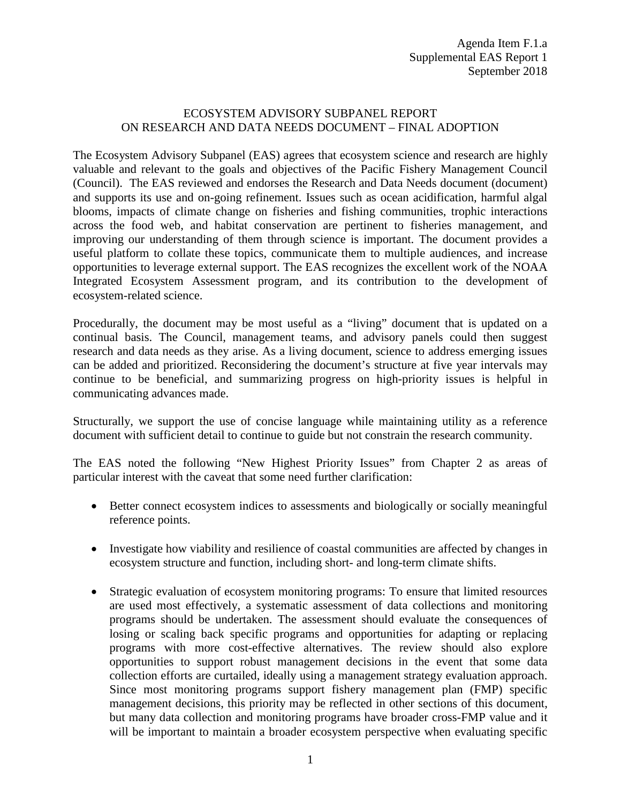## ECOSYSTEM ADVISORY SUBPANEL REPORT ON RESEARCH AND DATA NEEDS DOCUMENT – FINAL ADOPTION

The Ecosystem Advisory Subpanel (EAS) agrees that ecosystem science and research are highly valuable and relevant to the goals and objectives of the Pacific Fishery Management Council (Council). The EAS reviewed and endorses the Research and Data Needs document (document) and supports its use and on-going refinement. Issues such as ocean acidification, harmful algal blooms, impacts of climate change on fisheries and fishing communities, trophic interactions across the food web, and habitat conservation are pertinent to fisheries management, and improving our understanding of them through science is important. The document provides a useful platform to collate these topics, communicate them to multiple audiences, and increase opportunities to leverage external support. The EAS recognizes the excellent work of the NOAA Integrated Ecosystem Assessment program, and its contribution to the development of ecosystem-related science.

Procedurally, the document may be most useful as a "living" document that is updated on a continual basis. The Council, management teams, and advisory panels could then suggest research and data needs as they arise. As a living document, science to address emerging issues can be added and prioritized. Reconsidering the document's structure at five year intervals may continue to be beneficial, and summarizing progress on high-priority issues is helpful in communicating advances made.

Structurally, we support the use of concise language while maintaining utility as a reference document with sufficient detail to continue to guide but not constrain the research community.

The EAS noted the following "New Highest Priority Issues" from Chapter 2 as areas of particular interest with the caveat that some need further clarification:

- Better connect ecosystem indices to assessments and biologically or socially meaningful reference points.
- Investigate how viability and resilience of coastal communities are affected by changes in ecosystem structure and function, including short- and long-term climate shifts.
- Strategic evaluation of ecosystem monitoring programs: To ensure that limited resources are used most effectively, a systematic assessment of data collections and monitoring programs should be undertaken. The assessment should evaluate the consequences of losing or scaling back specific programs and opportunities for adapting or replacing programs with more cost-effective alternatives. The review should also explore opportunities to support robust management decisions in the event that some data collection efforts are curtailed, ideally using a management strategy evaluation approach. Since most monitoring programs support fishery management plan (FMP) specific management decisions, this priority may be reflected in other sections of this document, but many data collection and monitoring programs have broader cross-FMP value and it will be important to maintain a broader ecosystem perspective when evaluating specific